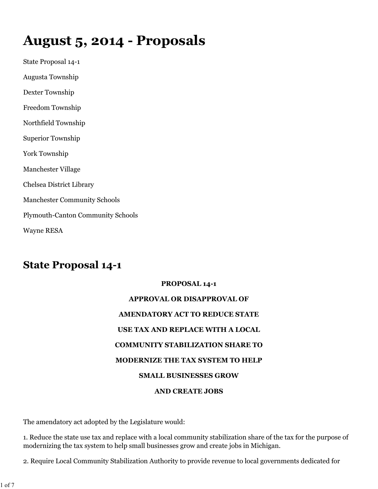# **August 5, 2014 - Proposals**

State Proposal 14-1 Augusta Township Dexter Township Freedom Township Northfield Township Superior Township York Township Manchester Village Chelsea District Library Manchester Community Schools Plymouth-Canton Community Schools Wayne RESA

# **State Proposal 14-1**

# **PROPOSAL 14-1 APPROVAL OR DISAPPROVAL OF AMENDATORY ACT TO REDUCE STATE**

### **USE TAX AND REPLACE WITH A LOCAL**

### **COMMUNITY STABILIZATION SHARE TO**

### **MODERNIZE THE TAX SYSTEM TO HELP**

### **SMALL BUSINESSES GROW**

### **AND CREATE JOBS**

The amendatory act adopted by the Legislature would:

1. Reduce the state use tax and replace with a local community stabilization share of the tax for the purpose of modernizing the tax system to help small businesses grow and create jobs in Michigan.

2. Require Local Community Stabilization Authority to provide revenue to local governments dedicated for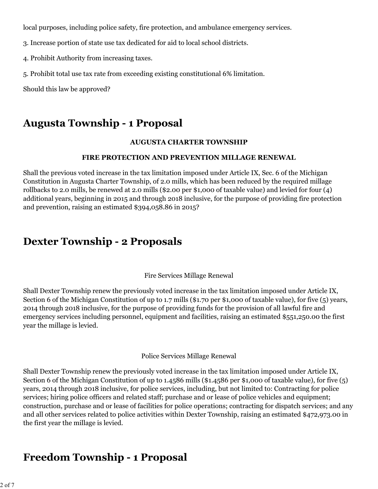local purposes, including police safety, fire protection, and ambulance emergency services.

3. Increase portion of state use tax dedicated for aid to local school districts.

4. Prohibit Authority from increasing taxes.

5. Prohibit total use tax rate from exceeding existing constitutional 6% limitation.

Should this law be approved?

# **Augusta Township - 1 Proposal**

#### **AUGUSTA CHARTER TOWNSHIP**

#### **FIRE PROTECTION AND PREVENTION MILLAGE RENEWAL**

Shall the previous voted increase in the tax limitation imposed under Article IX, Sec. 6 of the Michigan Constitution in Augusta Charter Township, of 2.0 mills, which has been reduced by the required millage rollbacks to 2.0 mills, be renewed at 2.0 mills (\$2.00 per \$1,000 of taxable value) and levied for four (4) additional years, beginning in 2015 and through 2018 inclusive, for the purpose of providing fire protection and prevention, raising an estimated \$394,058.86 in 2015?

# **Dexter Township - 2 Proposals**

Fire Services Millage Renewal

Shall Dexter Township renew the previously voted increase in the tax limitation imposed under Article IX, Section 6 of the Michigan Constitution of up to 1.7 mills (\$1.70 per \$1,000 of taxable value), for five (5) years, 2014 through 2018 inclusive, for the purpose of providing funds for the provision of all lawful fire and emergency services including personnel, equipment and facilities, raising an estimated \$551,250.00 the first year the millage is levied.

#### Police Services Millage Renewal

Shall Dexter Township renew the previously voted increase in the tax limitation imposed under Article IX, Section 6 of the Michigan Constitution of up to 1.4586 mills (\$1.4586 per \$1,000 of taxable value), for five (5) years, 2014 through 2018 inclusive, for police services, including, but not limited to: Contracting for police services; hiring police officers and related staff; purchase and or lease of police vehicles and equipment; construction, purchase and or lease of facilities for police operations; contracting for dispatch services; and any and all other services related to police activities within Dexter Township, raising an estimated \$472,973.00 in the first year the millage is levied.

# **Freedom Township - 1 Proposal**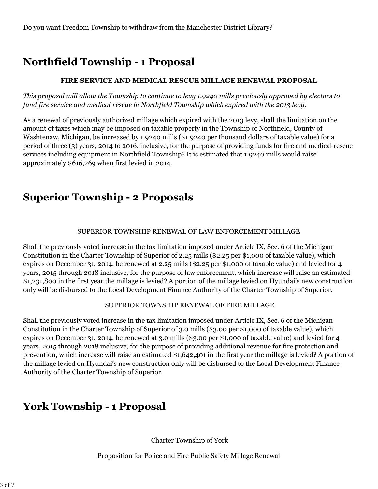# **Northfield Township - 1 Proposal**

#### **FIRE SERVICE AND MEDICAL RESCUE MILLAGE RENEWAL PROPOSAL**

*This proposal will allow the Township to continue to levy 1.9240 mills previously approved by electors to fund fire service and medical rescue in Northfield Township which expired with the 2013 levy.*

As a renewal of previously authorized millage which expired with the 2013 levy, shall the limitation on the amount of taxes which may be imposed on taxable property in the Township of Northfield, County of Washtenaw, Michigan, be increased by 1.9240 mills (\$1.9240 per thousand dollars of taxable value) for a period of three (3) years, 2014 to 2016, inclusive, for the purpose of providing funds for fire and medical rescue services including equipment in Northfield Township? It is estimated that 1.9240 mills would raise approximately \$616,269 when first levied in 2014.

# **Superior Township - 2 Proposals**

#### SUPERIOR TOWNSHIP RENEWAL OF LAW ENFORCEMENT MILLAGE

Shall the previously voted increase in the tax limitation imposed under Article IX, Sec. 6 of the Michigan Constitution in the Charter Township of Superior of 2.25 mills (\$2.25 per \$1,000 of taxable value), which expires on December 31, 2014, be renewed at 2.25 mills (\$2.25 per \$1,000 of taxable value) and levied for 4 years, 2015 through 2018 inclusive, for the purpose of law enforcement, which increase will raise an estimated \$1,231,800 in the first year the millage is levied? A portion of the millage levied on Hyundai's new construction only will be disbursed to the Local Development Finance Authority of the Charter Township of Superior.

#### SUPERIOR TOWNSHIP RENEWAL OF FIRE MILLAGE

Shall the previously voted increase in the tax limitation imposed under Article IX, Sec. 6 of the Michigan Constitution in the Charter Township of Superior of 3.0 mills (\$3.00 per \$1,000 of taxable value), which expires on December 31, 2014, be renewed at 3.0 mills (\$3.00 per \$1,000 of taxable value) and levied for 4 years, 2015 through 2018 inclusive, for the purpose of providing additional revenue for fire protection and prevention, which increase will raise an estimated \$1,642,401 in the first year the millage is levied? A portion of the millage levied on Hyundai's new construction only will be disbursed to the Local Development Finance Authority of the Charter Township of Superior.

# **York Township - 1 Proposal**

Charter Township of York

Proposition for Police and Fire Public Safety Millage Renewal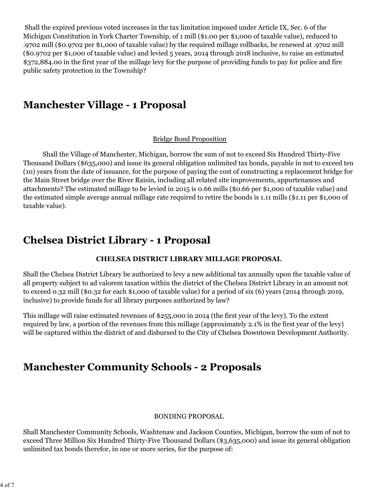Shall the expired previous voted increases in the tax limitation imposed under Article IX, Sec. 6 of the Michigan Constitution in York Charter Township, of 1 mill (\$1.00 per \$1,000 of taxable value), reduced to .9702 mill (\$0.9702 per \$1,000 of taxable value) by the required millage rollbacks, be renewed at .9702 mill (\$0.9702 per \$1,000 of taxable value) and levied 5 years, 2014 through 2018 inclusive, to raise an estimated \$372,884.00 in the first year of the millage levy for the purpose of providing funds to pay for police and fire public safety protection in the Township?

### **Manchester Village - 1 Proposal**

#### Bridge Bond Proposition

 Shall the Village of Manchester, Michigan, borrow the sum of not to exceed Six Hundred Thirty-Five Thousand Dollars (\$635,000) and issue its general obligation unlimited tax bonds, payable in not to exceed ten (10) years from the date of issuance, for the purpose of paying the cost of constructing a replacement bridge for the Main Street bridge over the River Raisin, including all related site improvements, appurtenances and attachments? The estimated millage to be levied in 2015 is 0.66 mills (\$0.66 per \$1,000 of taxable value) and the estimated simple average annual millage rate required to retire the bonds is 1.11 mills (\$1.11 per \$1,000 of taxable value).

### **Chelsea District Library - 1 Proposal**

### **CHELSEA DISTRICT LIBRARY MILLAGE PROPOSAL**

Shall the Chelsea District Library be authorized to levy a new additional tax annually upon the taxable value of all property subject to ad valorem taxation within the district of the Chelsea District Library in an amount not to exceed 0.32 mill (\$0.32 for each \$1,000 of taxable value) for a period of six (6) years (2014 through 2019, inclusive) to provide funds for all library purposes authorized by law?

This millage will raise estimated revenues of \$255,000 in 2014 (the first year of the levy). To the extent required by law, a portion of the revenues from this millage (approximately 2.1% in the first year of the levy) will be captured within the district of and disbursed to the City of Chelsea Downtown Development Authority.

### **Manchester Community Schools - 2 Proposals**

#### BONDING PROPOSAL

Shall Manchester Community Schools, Washtenaw and Jackson Counties, Michigan, borrow the sum of not to exceed Three Million Six Hundred Thirty-Five Thousand Dollars (\$3,635,000) and issue its general obligation unlimited tax bonds therefor, in one or more series, for the purpose of: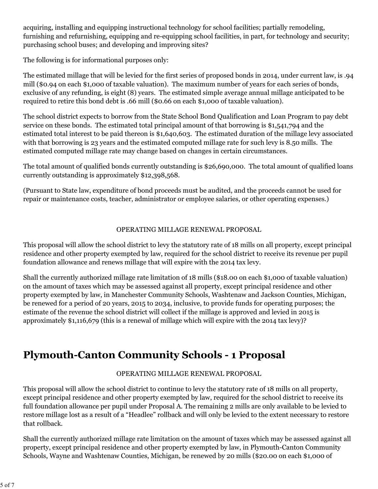acquiring, installing and equipping instructional technology for school facilities; partially remodeling, furnishing and refurnishing, equipping and re-equipping school facilities, in part, for technology and security; purchasing school buses; and developing and improving sites?

The following is for informational purposes only:

The estimated millage that will be levied for the first series of proposed bonds in 2014, under current law, is .94 mill (\$0.94 on each \$1,000 of taxable valuation). The maximum number of years for each series of bonds, exclusive of any refunding, is eight (8) years. The estimated simple average annual millage anticipated to be required to retire this bond debt is .66 mill (\$0.66 on each \$1,000 of taxable valuation).

The school district expects to borrow from the State School Bond Qualification and Loan Program to pay debt service on these bonds. The estimated total principal amount of that borrowing is \$1,541,794 and the estimated total interest to be paid thereon is \$1,640,603. The estimated duration of the millage levy associated with that borrowing is 23 years and the estimated computed millage rate for such levy is 8.50 mills. The estimated computed millage rate may change based on changes in certain circumstances.

The total amount of qualified bonds currently outstanding is \$26,690,000. The total amount of qualified loans currently outstanding is approximately \$12,398,568.

(Pursuant to State law, expenditure of bond proceeds must be audited, and the proceeds cannot be used for repair or maintenance costs, teacher, administrator or employee salaries, or other operating expenses.)

### OPERATING MILLAGE RENEWAL PROPOSAL

This proposal will allow the school district to levy the statutory rate of 18 mills on all property, except principal residence and other property exempted by law, required for the school district to receive its revenue per pupil foundation allowance and renews millage that will expire with the 2014 tax levy.

Shall the currently authorized millage rate limitation of 18 mills (\$18.00 on each \$1,000 of taxable valuation) on the amount of taxes which may be assessed against all property, except principal residence and other property exempted by law, in Manchester Community Schools, Washtenaw and Jackson Counties, Michigan, be renewed for a period of 20 years, 2015 to 2034, inclusive, to provide funds for operating purposes; the estimate of the revenue the school district will collect if the millage is approved and levied in 2015 is approximately \$1,116,679 (this is a renewal of millage which will expire with the 2014 tax levy)?

# **Plymouth-Canton Community Schools - 1 Proposal**

### OPERATING MILLAGE RENEWAL PROPOSAL

This proposal will allow the school district to continue to levy the statutory rate of 18 mills on all property, except principal residence and other property exempted by law, required for the school district to receive its full foundation allowance per pupil under Proposal A. The remaining 2 mills are only available to be levied to restore millage lost as a result of a "Headlee" rollback and will only be levied to the extent necessary to restore that rollback.

Shall the currently authorized millage rate limitation on the amount of taxes which may be assessed against all property, except principal residence and other property exempted by law, in Plymouth-Canton Community Schools, Wayne and Washtenaw Counties, Michigan, be renewed by 20 mills (\$20.00 on each \$1,000 of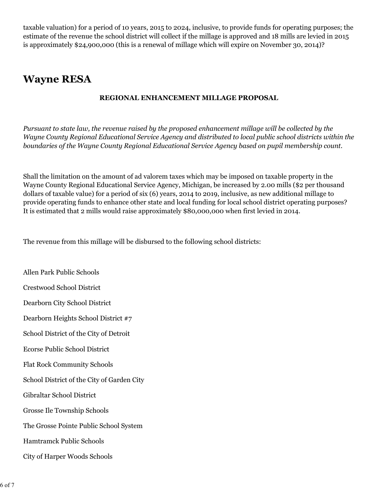taxable valuation) for a period of 10 years, 2015 to 2024, inclusive, to provide funds for operating purposes; the estimate of the revenue the school district will collect if the millage is approved and 18 mills are levied in 2015 is approximately \$24,900,000 (this is a renewal of millage which will expire on November 30, 2014)?

# **Wayne RESA**

### **REGIONAL ENHANCEMENT MILLAGE PROPOSAL**

*Pursuant to state law, the revenue raised by the proposed enhancement millage will be collected by the Wayne County Regional Educational Service Agency and distributed to local public school districts within the boundaries of the Wayne County Regional Educational Service Agency based on pupil membership count.*

Shall the limitation on the amount of ad valorem taxes which may be imposed on taxable property in the Wayne County Regional Educational Service Agency, Michigan, be increased by 2.00 mills (\$2 per thousand dollars of taxable value) for a period of six (6) years, 2014 to 2019, inclusive, as new additional millage to provide operating funds to enhance other state and local funding for local school district operating purposes? It is estimated that 2 mills would raise approximately \$80,000,000 when first levied in 2014.

The revenue from this millage will be disbursed to the following school districts:

Allen Park Public Schools Crestwood School District Dearborn City School District Dearborn Heights School District #7 School District of the City of Detroit Ecorse Public School District Flat Rock Community Schools School District of the City of Garden City Gibraltar School District Grosse Ile Township Schools The Grosse Pointe Public School System Hamtramck Public Schools City of Harper Woods Schools